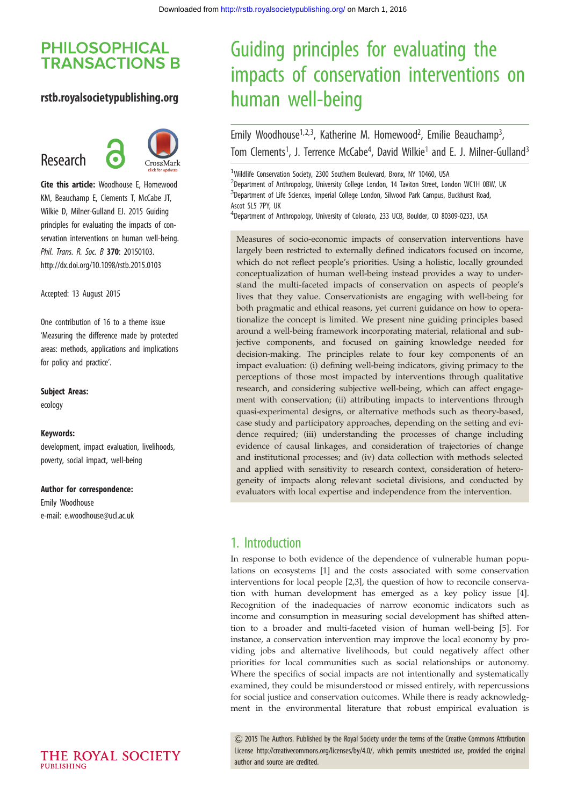# **PHILOSOPHICAL TRANSACTIONS B**

### rstb.royalsocietypublishing.org

# Research



Cite this article: Woodhouse E, Homewood KM, Beauchamp E, Clements T, McCabe JT, Wilkie D, Milner-Gulland EJ. 2015 Guiding principles for evaluating the impacts of conservation interventions on human well-being. Phil. Trans. R. Soc. B 370: 20150103. http://dx.doi.org/10.1098/rstb.2015.0103

Accepted: 13 August 2015

One contribution of 16 to a theme issue 'Measuring the difference made by protected areas: methods, applications and implications for policy and practice'.

#### Subject Areas:

ecology

#### Keywords:

development, impact evaluation, livelihoods, poverty, social impact, well-being

#### Author for correspondence:

Emily Woodhouse e-mail: [e.woodhouse@ucl.ac.uk](mailto:e.woodhouse@ucl.ac.uk)

# Guiding principles for evaluating the impacts of conservation interventions on human well-being

Emily Woodhouse<sup>1,2,3</sup>, Katherine M. Homewood<sup>2</sup>, Emilie Beauchamp<sup>3</sup> , Tom Clements<sup>1</sup>, J. Terrence McCabe<sup>4</sup>, David Wilkie<sup>1</sup> and E. J. Milner-Gulland<sup>3</sup>

<sup>1</sup>Wildlife Conservation Society, 2300 Southern Boulevard, Bronx, NY 10460, USA <sup>2</sup>Department of Anthropology, University College London, 14 Taviton Street, London WC1H 0BW, UK <sup>3</sup>Department of Life Sciences, Imperial College London, Silwood Park Campus, Buckhurst Road, Ascot SL5 7PY, UK

4 Department of Anthropology, University of Colorado, 233 UCB, Boulder, CO 80309-0233, USA

Measures of socio-economic impacts of conservation interventions have largely been restricted to externally defined indicators focused on income, which do not reflect people's priorities. Using a holistic, locally grounded conceptualization of human well-being instead provides a way to understand the multi-faceted impacts of conservation on aspects of people's lives that they value. Conservationists are engaging with well-being for both pragmatic and ethical reasons, yet current guidance on how to operationalize the concept is limited. We present nine guiding principles based around a well-being framework incorporating material, relational and subjective components, and focused on gaining knowledge needed for decision-making. The principles relate to four key components of an impact evaluation: (i) defining well-being indicators, giving primacy to the perceptions of those most impacted by interventions through qualitative research, and considering subjective well-being, which can affect engagement with conservation; (ii) attributing impacts to interventions through quasi-experimental designs, or alternative methods such as theory-based, case study and participatory approaches, depending on the setting and evidence required; (iii) understanding the processes of change including evidence of causal linkages, and consideration of trajectories of change and institutional processes; and (iv) data collection with methods selected and applied with sensitivity to research context, consideration of heterogeneity of impacts along relevant societal divisions, and conducted by evaluators with local expertise and independence from the intervention.

## 1. Introduction

In response to both evidence of the dependence of vulnerable human populations on ecosystems [\[1\]](#page-8-0) and the costs associated with some conservation interventions for local people [[2](#page-8-0),[3](#page-8-0)], the question of how to reconcile conservation with human development has emerged as a key policy issue [\[4\]](#page-8-0). Recognition of the inadequacies of narrow economic indicators such as income and consumption in measuring social development has shifted attention to a broader and multi-faceted vision of human well-being [[5](#page-8-0)]. For instance, a conservation intervention may improve the local economy by providing jobs and alternative livelihoods, but could negatively affect other priorities for local communities such as social relationships or autonomy. Where the specifics of social impacts are not intentionally and systematically examined, they could be misunderstood or missed entirely, with repercussions for social justice and conservation outcomes. While there is ready acknowledgment in the environmental literature that robust empirical evaluation is

& 2015 The Authors. Published by the Royal Society under the terms of the Creative Commons Attribution License [http://creativecommons.org/licenses/by/4.0/, which permits unrestricted use, provided the original](http://creativecommons.org/licenses/by/4.0/) [author and source are credited.](http://creativecommons.org/licenses/by/4.0/)

THE ROYAL SOCIETY PURLISHING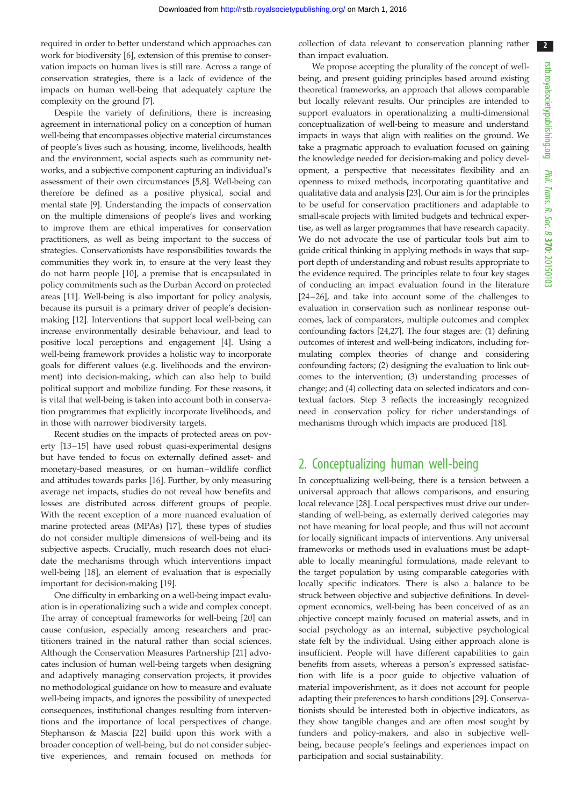required in order to better understand which approaches can work for biodiversity [\[6\]](#page-8-0), extension of this premise to conservation impacts on human lives is still rare. Across a range of conservation strategies, there is a lack of evidence of the impacts on human well-being that adequately capture the complexity on the ground [\[7\]](#page-8-0).

Despite the variety of definitions, there is increasing agreement in international policy on a conception of human well-being that encompasses objective material circumstances of people's lives such as housing, income, livelihoods, health and the environment, social aspects such as community networks, and a subjective component capturing an individual's assessment of their own circumstances [\[5,8](#page-8-0)]. Well-being can therefore be defined as a positive physical, social and mental state [\[9\]](#page-9-0). Understanding the impacts of conservation on the multiple dimensions of people's lives and working to improve them are ethical imperatives for conservation practitioners, as well as being important to the success of strategies. Conservationists have responsibilities towards the communities they work in, to ensure at the very least they do not harm people [[10\]](#page-9-0), a premise that is encapsulated in policy commitments such as the Durban Accord on protected areas [[11](#page-9-0)]. Well-being is also important for policy analysis, because its pursuit is a primary driver of people's decisionmaking [[12\]](#page-9-0). Interventions that support local well-being can increase environmentally desirable behaviour, and lead to positive local perceptions and engagement [[4\]](#page-8-0). Using a well-being framework provides a holistic way to incorporate goals for different values (e.g. livelihoods and the environment) into decision-making, which can also help to build political support and mobilize funding. For these reasons, it is vital that well-being is taken into account both in conservation programmes that explicitly incorporate livelihoods, and in those with narrower biodiversity targets.

Recent studies on the impacts of protected areas on poverty [[13](#page-9-0)–[15\]](#page-9-0) have used robust quasi-experimental designs but have tended to focus on externally defined asset- and monetary-based measures, or on human –wildlife conflict and attitudes towards parks [[16\]](#page-9-0). Further, by only measuring average net impacts, studies do not reveal how benefits and losses are distributed across different groups of people. With the recent exception of a more nuanced evaluation of marine protected areas (MPAs) [\[17](#page-9-0)], these types of studies do not consider multiple dimensions of well-being and its subjective aspects. Crucially, much research does not elucidate the mechanisms through which interventions impact well-being [[18\]](#page-9-0), an element of evaluation that is especially important for decision-making [\[19](#page-9-0)].

One difficulty in embarking on a well-being impact evaluation is in operationalizing such a wide and complex concept. The array of conceptual frameworks for well-being [[20\]](#page-9-0) can cause confusion, especially among researchers and practitioners trained in the natural rather than social sciences. Although the Conservation Measures Partnership [\[21](#page-9-0)] advocates inclusion of human well-being targets when designing and adaptively managing conservation projects, it provides no methodological guidance on how to measure and evaluate well-being impacts, and ignores the possibility of unexpected consequences, institutional changes resulting from interventions and the importance of local perspectives of change. Stephanson & Mascia [\[22](#page-9-0)] build upon this work with a broader conception of well-being, but do not consider subjective experiences, and remain focused on methods for

collection of data relevant to conservation planning rather than impact evaluation.

We propose accepting the plurality of the concept of wellbeing, and present guiding principles based around existing theoretical frameworks, an approach that allows comparable but locally relevant results. Our principles are intended to support evaluators in operationalizing a multi-dimensional conceptualization of well-being to measure and understand impacts in ways that align with realities on the ground. We take a pragmatic approach to evaluation focused on gaining the knowledge needed for decision-making and policy development, a perspective that necessitates flexibility and an openness to mixed methods, incorporating quantitative and qualitative data and analysis [[23](#page-9-0)]. Our aim is for the principles to be useful for conservation practitioners and adaptable to small-scale projects with limited budgets and technical expertise, as well as larger programmes that have research capacity. We do not advocate the use of particular tools but aim to guide critical thinking in applying methods in ways that support depth of understanding and robust results appropriate to the evidence required. The principles relate to four key stages of conducting an impact evaluation found in the literature [[24](#page-9-0)–[26\]](#page-9-0), and take into account some of the challenges to evaluation in conservation such as nonlinear response outcomes, lack of comparators, multiple outcomes and complex confounding factors [[24,27\]](#page-9-0). The four stages are: (1) defining outcomes of interest and well-being indicators, including formulating complex theories of change and considering confounding factors; (2) designing the evaluation to link outcomes to the intervention; (3) understanding processes of change; and (4) collecting data on selected indicators and contextual factors. Step 3 reflects the increasingly recognized need in conservation policy for richer understandings of mechanisms through which impacts are produced [[18\]](#page-9-0).

## 2. Conceptualizing human well-being

In conceptualizing well-being, there is a tension between a universal approach that allows comparisons, and ensuring local relevance [[28\]](#page-9-0). Local perspectives must drive our understanding of well-being, as externally derived categories may not have meaning for local people, and thus will not account for locally significant impacts of interventions. Any universal frameworks or methods used in evaluations must be adaptable to locally meaningful formulations, made relevant to the target population by using comparable categories with locally specific indicators. There is also a balance to be struck between objective and subjective definitions. In development economics, well-being has been conceived of as an objective concept mainly focused on material assets, and in social psychology as an internal, subjective psychological state felt by the individual. Using either approach alone is insufficient. People will have different capabilities to gain benefits from assets, whereas a person's expressed satisfaction with life is a poor guide to objective valuation of material impoverishment, as it does not account for people adapting their preferences to harsh conditions [\[29](#page-9-0)]. Conservationists should be interested both in objective indicators, as they show tangible changes and are often most sought by funders and policy-makers, and also in subjective wellbeing, because people's feelings and experiences impact on participation and social sustainability.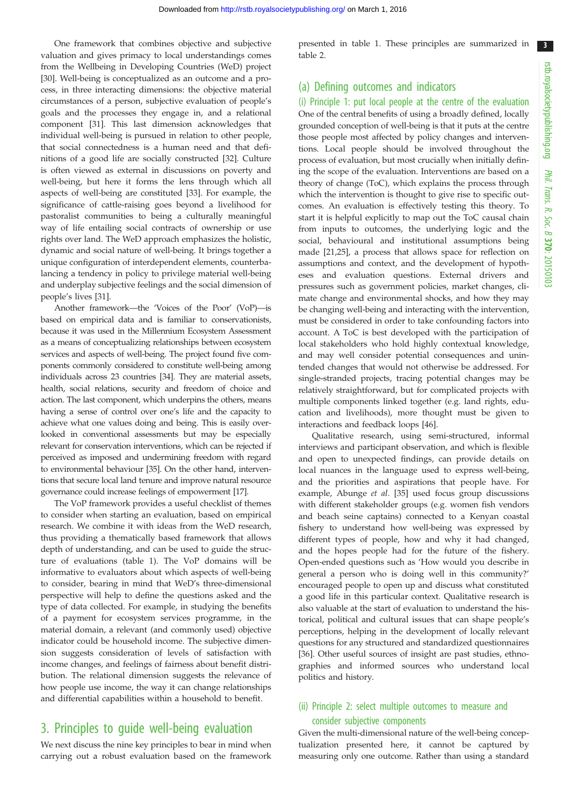One framework that combines objective and subjective valuation and gives primacy to local understandings comes from the Wellbeing in Developing Countries (WeD) project [\[30](#page-9-0)]. Well-being is conceptualized as an outcome and a process, in three interacting dimensions: the objective material circumstances of a person, subjective evaluation of people's goals and the processes they engage in, and a relational component [\[31](#page-9-0)]. This last dimension acknowledges that individual well-being is pursued in relation to other people, that social connectedness is a human need and that definitions of a good life are socially constructed [\[32](#page-9-0)]. Culture is often viewed as external in discussions on poverty and well-being, but here it forms the lens through which all aspects of well-being are constituted [\[33](#page-9-0)]. For example, the significance of cattle-raising goes beyond a livelihood for pastoralist communities to being a culturally meaningful way of life entailing social contracts of ownership or use rights over land. The WeD approach emphasizes the holistic, dynamic and social nature of well-being. It brings together a unique configuration of interdependent elements, counterbalancing a tendency in policy to privilege material well-being and underplay subjective feelings and the social dimension of people's lives [[31\]](#page-9-0).

Another framework—the 'Voices of the Poor' (VoP)—is based on empirical data and is familiar to conservationists, because it was used in the Millennium Ecosystem Assessment as a means of conceptualizing relationships between ecosystem services and aspects of well-being. The project found five components commonly considered to constitute well-being among individuals across 23 countries [[34](#page-9-0)]. They are material assets, health, social relations, security and freedom of choice and action. The last component, which underpins the others, means having a sense of control over one's life and the capacity to achieve what one values doing and being. This is easily overlooked in conventional assessments but may be especially relevant for conservation interventions, which can be rejected if perceived as imposed and undermining freedom with regard to environmental behaviour [[35](#page-9-0)]. On the other hand, interventions that secure local land tenure and improve natural resource governance could increase feelings of empowerment [\[17\]](#page-9-0).

The VoP framework provides a useful checklist of themes to consider when starting an evaluation, based on empirical research. We combine it with ideas from the WeD research, thus providing a thematically based framework that allows depth of understanding, and can be used to guide the structure of evaluations [\(table 1](#page-3-0)). The VoP domains will be informative to evaluators about which aspects of well-being to consider, bearing in mind that WeD's three-dimensional perspective will help to define the questions asked and the type of data collected. For example, in studying the benefits of a payment for ecosystem services programme, in the material domain, a relevant (and commonly used) objective indicator could be household income. The subjective dimension suggests consideration of levels of satisfaction with income changes, and feelings of fairness about benefit distribution. The relational dimension suggests the relevance of how people use income, the way it can change relationships and differential capabilities within a household to benefit.

# 3. Principles to guide well-being evaluation

We next discuss the nine key principles to bear in mind when carrying out a robust evaluation based on the framework presented in [table 1.](#page-3-0) These principles are summarized in [table 2](#page-4-0).

# (a) Defining outcomes and indicators

(i) Principle 1: put local people at the centre of the evaluation One of the central benefits of using a broadly defined, locally grounded conception of well-being is that it puts at the centre those people most affected by policy changes and interventions. Local people should be involved throughout the process of evaluation, but most crucially when initially defining the scope of the evaluation. Interventions are based on a theory of change (ToC), which explains the process through which the intervention is thought to give rise to specific outcomes. An evaluation is effectively testing this theory. To start it is helpful explicitly to map out the ToC causal chain from inputs to outcomes, the underlying logic and the social, behavioural and institutional assumptions being made [[21,25](#page-9-0)], a process that allows space for reflection on assumptions and context, and the development of hypotheses and evaluation questions. External drivers and pressures such as government policies, market changes, climate change and environmental shocks, and how they may be changing well-being and interacting with the intervention, must be considered in order to take confounding factors into account. A ToC is best developed with the participation of local stakeholders who hold highly contextual knowledge, and may well consider potential consequences and unintended changes that would not otherwise be addressed. For single-stranded projects, tracing potential changes may be relatively straightforward, but for complicated projects with multiple components linked together (e.g. land rights, education and livelihoods), more thought must be given to interactions and feedback loops [[46\]](#page-9-0).

Qualitative research, using semi-structured, informal interviews and participant observation, and which is flexible and open to unexpected findings, can provide details on local nuances in the language used to express well-being, and the priorities and aspirations that people have. For example, Abunge et al. [[35\]](#page-9-0) used focus group discussions with different stakeholder groups (e.g. women fish vendors and beach seine captains) connected to a Kenyan coastal fishery to understand how well-being was expressed by different types of people, how and why it had changed, and the hopes people had for the future of the fishery. Open-ended questions such as 'How would you describe in general a person who is doing well in this community?' encouraged people to open up and discuss what constituted a good life in this particular context. Qualitative research is also valuable at the start of evaluation to understand the historical, political and cultural issues that can shape people's perceptions, helping in the development of locally relevant questions for any structured and standardized questionnaires [[36\]](#page-9-0). Other useful sources of insight are past studies, ethnographies and informed sources who understand local politics and history.

## (ii) Principle 2: select multiple outcomes to measure and consider subjective components

Given the multi-dimensional nature of the well-being conceptualization presented here, it cannot be captured by measuring only one outcome. Rather than using a standard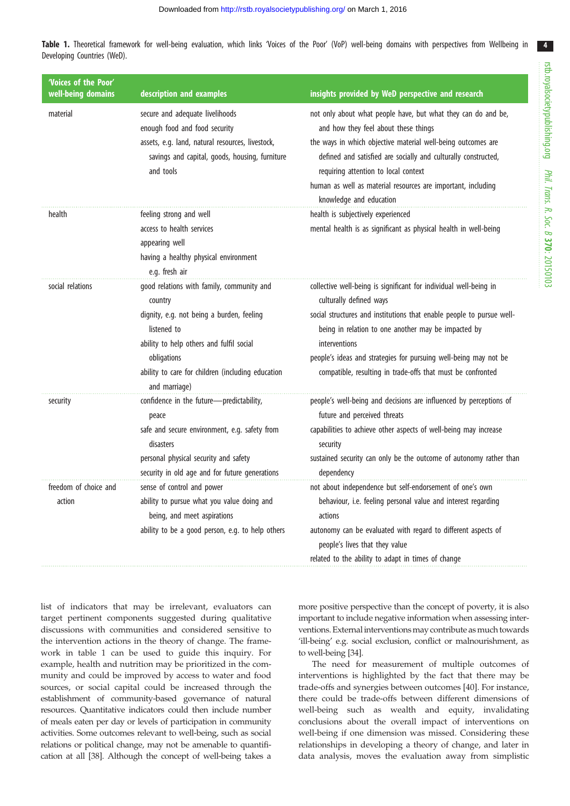4

<span id="page-3-0"></span>Table 1. Theoretical framework for well-being evaluation, which links 'Voices of the Poor' (VoP) well-being domains with perspectives from Wellbeing in Developing Countries (WeD).

| 'Voices of the Poor'<br>well-being domains | description and examples                                                                                                                                                                                                                          | insights provided by WeD perspective and research                                                                                                                                                                                                                                                                                                                                |
|--------------------------------------------|---------------------------------------------------------------------------------------------------------------------------------------------------------------------------------------------------------------------------------------------------|----------------------------------------------------------------------------------------------------------------------------------------------------------------------------------------------------------------------------------------------------------------------------------------------------------------------------------------------------------------------------------|
| material                                   | secure and adequate livelihoods<br>enough food and food security<br>assets, e.g. land, natural resources, livestock,<br>savings and capital, goods, housing, furniture<br>and tools                                                               | not only about what people have, but what they can do and be,<br>and how they feel about these things<br>the ways in which objective material well-being outcomes are<br>defined and satisfied are socially and culturally constructed,<br>requiring attention to local context<br>human as well as material resources are important, including<br>knowledge and education       |
| health                                     | feeling strong and well<br>access to health services<br>appearing well<br>having a healthy physical environment<br>e.g. fresh air                                                                                                                 | health is subjectively experienced<br>mental health is as significant as physical health in well-being                                                                                                                                                                                                                                                                           |
| social relations                           | good relations with family, community and<br>country<br>dignity, e.g. not being a burden, feeling<br>listened to<br>ability to help others and fulfil social<br>obligations<br>ability to care for children (including education<br>and marriage) | collective well-being is significant for individual well-being in<br>culturally defined ways<br>social structures and institutions that enable people to pursue well-<br>being in relation to one another may be impacted by<br>interventions<br>people's ideas and strategies for pursuing well-being may not be<br>compatible, resulting in trade-offs that must be confronted |
| security                                   | confidence in the future-predictability,<br>peace<br>safe and secure environment, e.g. safety from<br>disasters<br>personal physical security and safety<br>security in old age and for future generations                                        | people's well-being and decisions are influenced by perceptions of<br>future and perceived threats<br>capabilities to achieve other aspects of well-being may increase<br>security<br>sustained security can only be the outcome of autonomy rather than<br>dependency                                                                                                           |
| freedom of choice and<br>action            | sense of control and power<br>ability to pursue what you value doing and<br>being, and meet aspirations<br>ability to be a good person, e.g. to help others                                                                                       | not about independence but self-endorsement of one's own<br>behaviour, i.e. feeling personal value and interest regarding<br>actions<br>autonomy can be evaluated with regard to different aspects of<br>people's lives that they value<br>related to the ability to adapt in times of change                                                                                    |

list of indicators that may be irrelevant, evaluators can target pertinent components suggested during qualitative discussions with communities and considered sensitive to the intervention actions in the theory of change. The framework in table 1 can be used to guide this inquiry. For example, health and nutrition may be prioritized in the community and could be improved by access to water and food sources, or social capital could be increased through the establishment of community-based governance of natural resources. Quantitative indicators could then include number of meals eaten per day or levels of participation in community activities. Some outcomes relevant to well-being, such as social relations or political change, may not be amenable to quantification at all [\[38\]](#page-9-0). Although the concept of well-being takes a more positive perspective than the concept of poverty, it is also important to include negative information when assessing interventions. External interventions may contribute as much towards 'ill-being' e.g. social exclusion, conflict or malnourishment, as to well-being [\[34\]](#page-9-0).

The need for measurement of multiple outcomes of interventions is highlighted by the fact that there may be trade-offs and synergies between outcomes [[40\]](#page-9-0). For instance, there could be trade-offs between different dimensions of well-being such as wealth and equity, invalidating conclusions about the overall impact of interventions on well-being if one dimension was missed. Considering these relationships in developing a theory of change, and later in data analysis, moves the evaluation away from simplistic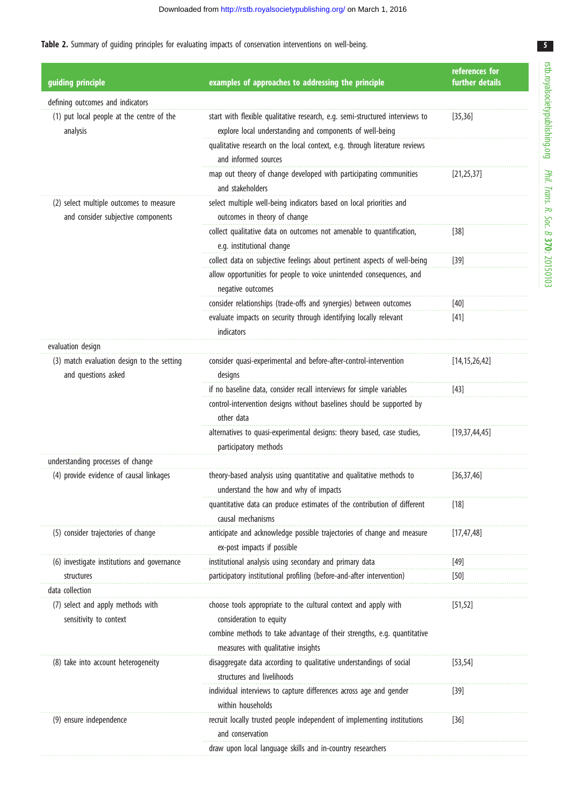<span id="page-4-0"></span>Table 2. Summary of guiding principles for evaluating impacts of conservation interventions on well-being.

| guiding principle                                                             | examples of approaches to addressing the principle                                                            | references for<br>further details |
|-------------------------------------------------------------------------------|---------------------------------------------------------------------------------------------------------------|-----------------------------------|
| defining outcomes and indicators                                              |                                                                                                               |                                   |
| (1) put local people at the centre of the                                     | start with flexible qualitative research, e.g. semi-structured interviews to                                  | [35, 36]                          |
| analysis                                                                      | explore local understanding and components of well-being                                                      |                                   |
|                                                                               | qualitative research on the local context, e.g. through literature reviews<br>and informed sources            |                                   |
|                                                                               | map out theory of change developed with participating communities<br>and stakeholders                         | [21, 25, 37]                      |
| (2) select multiple outcomes to measure<br>and consider subjective components | select multiple well-being indicators based on local priorities and<br>outcomes in theory of change           |                                   |
|                                                                               | collect qualitative data on outcomes not amenable to quantification,<br>e.g. institutional change             | $[38]$                            |
|                                                                               | collect data on subjective feelings about pertinent aspects of well-being                                     | $[39]$                            |
|                                                                               | allow opportunities for people to voice unintended consequences, and<br>negative outcomes                     |                                   |
|                                                                               | consider relationships (trade-offs and synergies) between outcomes                                            | $[40]$                            |
|                                                                               | evaluate impacts on security through identifying locally relevant<br>indicators                               | $[41]$                            |
| evaluation design                                                             |                                                                                                               |                                   |
| (3) match evaluation design to the setting<br>and questions asked             | consider quasi-experimental and before-after-control-intervention<br>designs                                  | [14, 15, 26, 42]                  |
|                                                                               | if no baseline data, consider recall interviews for simple variables                                          | $[43]$                            |
|                                                                               | control-intervention designs without baselines should be supported by<br>other data                           |                                   |
|                                                                               | alternatives to quasi-experimental designs: theory based, case studies,<br>participatory methods              | [19, 37, 44, 45]                  |
| understanding processes of change                                             |                                                                                                               |                                   |
| (4) provide evidence of causal linkages                                       | theory-based analysis using quantitative and qualitative methods to<br>understand the how and why of impacts  | [36, 37, 46]                      |
|                                                                               | quantitative data can produce estimates of the contribution of different<br>causal mechanisms                 | $[18]$                            |
| (5) consider trajectories of change                                           | anticipate and acknowledge possible trajectories of change and measure<br>ex-post impacts if possible         | [17, 47, 48]                      |
| (6) investigate institutions and governance                                   | institutional analysis using secondary and primary data                                                       | $[49]$                            |
| structures                                                                    | participatory institutional profiling (before-and-after intervention)                                         | [50]                              |
| data collection                                                               |                                                                                                               |                                   |
| (7) select and apply methods with<br>sensitivity to context                   | choose tools appropriate to the cultural context and apply with<br>consideration to equity                    | [51, 52]                          |
|                                                                               | combine methods to take advantage of their strengths, e.g. quantitative<br>measures with qualitative insights |                                   |
| (8) take into account heterogeneity                                           | disaggregate data according to qualitative understandings of social<br>structures and livelihoods             | [53, 54]                          |
|                                                                               | individual interviews to capture differences across age and gender<br>within households                       | $[39]$                            |
| (9) ensure independence                                                       | recruit locally trusted people independent of implementing institutions<br>and conservation                   | $[36]$                            |
|                                                                               | draw upon local language skills and in-country researchers                                                    |                                   |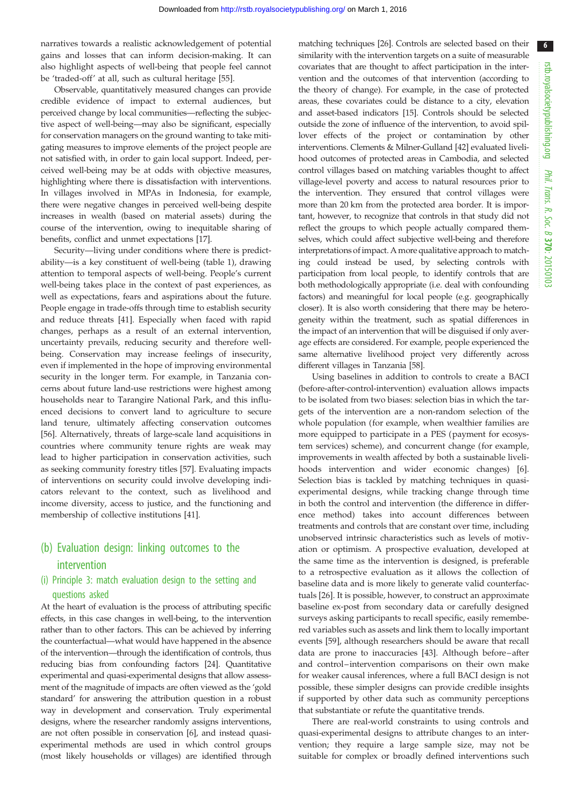narratives towards a realistic acknowledgement of potential gains and losses that can inform decision-making. It can also highlight aspects of well-being that people feel cannot be 'traded-off' at all, such as cultural heritage [\[55](#page-10-0)].

Observable, quantitatively measured changes can provide credible evidence of impact to external audiences, but perceived change by local communities—reflecting the subjective aspect of well-being—may also be significant, especially for conservation managers on the ground wanting to take mitigating measures to improve elements of the project people are not satisfied with, in order to gain local support. Indeed, perceived well-being may be at odds with objective measures, highlighting where there is dissatisfaction with interventions. In villages involved in MPAs in Indonesia, for example, there were negative changes in perceived well-being despite increases in wealth (based on material assets) during the course of the intervention, owing to inequitable sharing of benefits, conflict and unmet expectations [[17\]](#page-9-0).

Security—living under conditions where there is predictability—is a key constituent of well-being [\(table 1\)](#page-3-0), drawing attention to temporal aspects of well-being. People's current well-being takes place in the context of past experiences, as well as expectations, fears and aspirations about the future. People engage in trade-offs through time to establish security and reduce threats [\[41](#page-9-0)]. Especially when faced with rapid changes, perhaps as a result of an external intervention, uncertainty prevails, reducing security and therefore wellbeing. Conservation may increase feelings of insecurity, even if implemented in the hope of improving environmental security in the longer term. For example, in Tanzania concerns about future land-use restrictions were highest among households near to Tarangire National Park, and this influenced decisions to convert land to agriculture to secure land tenure, ultimately affecting conservation outcomes [\[56](#page-10-0)]. Alternatively, threats of large-scale land acquisitions in countries where community tenure rights are weak may lead to higher participation in conservation activities, such as seeking community forestry titles [[57\]](#page-10-0). Evaluating impacts of interventions on security could involve developing indicators relevant to the context, such as livelihood and income diversity, access to justice, and the functioning and membership of collective institutions [\[41](#page-9-0)].

#### (b) Evaluation design: linking outcomes to the

#### intervention

## (i) Principle 3: match evaluation design to the setting and questions asked

At the heart of evaluation is the process of attributing specific effects, in this case changes in well-being, to the intervention rather than to other factors. This can be achieved by inferring the counterfactual—what would have happened in the absence of the intervention—through the identification of controls, thus reducing bias from confounding factors [\[24](#page-9-0)]. Quantitative experimental and quasi-experimental designs that allow assessment of the magnitude of impacts are often viewed as the 'gold standard' for answering the attribution question in a robust way in development and conservation. Truly experimental designs, where the researcher randomly assigns interventions, are not often possible in conservation [[6](#page-8-0)], and instead quasiexperimental methods are used in which control groups (most likely households or villages) are identified through

matching techniques [\[26\]](#page-9-0). Controls are selected based on their similarity with the intervention targets on a suite of measurable covariates that are thought to affect participation in the intervention and the outcomes of that intervention (according to the theory of change). For example, in the case of protected areas, these covariates could be distance to a city, elevation and asset-based indicators [\[15](#page-9-0)]. Controls should be selected outside the zone of influence of the intervention, to avoid spillover effects of the project or contamination by other interventions. Clements & Milner-Gulland [\[42\]](#page-9-0) evaluated livelihood outcomes of protected areas in Cambodia, and selected control villages based on matching variables thought to affect village-level poverty and access to natural resources prior to the intervention. They ensured that control villages were more than 20 km from the protected area border. It is important, however, to recognize that controls in that study did not reflect the groups to which people actually compared themselves, which could affect subjective well-being and therefore interpretations of impact. A more qualitative approach to matching could instead be used, by selecting controls with participation from local people, to identify controls that are both methodologically appropriate (i.e. deal with confounding factors) and meaningful for local people (e.g. geographically closer). It is also worth considering that there may be heterogeneity within the treatment, such as spatial differences in the impact of an intervention that will be disguised if only average effects are considered. For example, people experienced the same alternative livelihood project very differently across different villages in Tanzania [\[58\]](#page-10-0).

Using baselines in addition to controls to create a BACI (before-after-control-intervention) evaluation allows impacts to be isolated from two biases: selection bias in which the targets of the intervention are a non-random selection of the whole population (for example, when wealthier families are more equipped to participate in a PES (payment for ecosystem services) scheme), and concurrent change (for example, improvements in wealth affected by both a sustainable livelihoods intervention and wider economic changes) [\[6\]](#page-8-0). Selection bias is tackled by matching techniques in quasiexperimental designs, while tracking change through time in both the control and intervention (the difference in difference method) takes into account differences between treatments and controls that are constant over time, including unobserved intrinsic characteristics such as levels of motivation or optimism. A prospective evaluation, developed at the same time as the intervention is designed, is preferable to a retrospective evaluation as it allows the collection of baseline data and is more likely to generate valid counterfactuals [[26\]](#page-9-0). It is possible, however, to construct an approximate baseline ex-post from secondary data or carefully designed surveys asking participants to recall specific, easily remembered variables such as assets and link them to locally important events [[59\]](#page-10-0), although researchers should be aware that recall data are prone to inaccuracies [[43](#page-9-0)]. Although before –after and control –intervention comparisons on their own make for weaker causal inferences, where a full BACI design is not possible, these simpler designs can provide credible insights if supported by other data such as community perceptions that substantiate or refute the quantitative trends.

There are real-world constraints to using controls and quasi-experimental designs to attribute changes to an intervention; they require a large sample size, may not be suitable for complex or broadly defined interventions such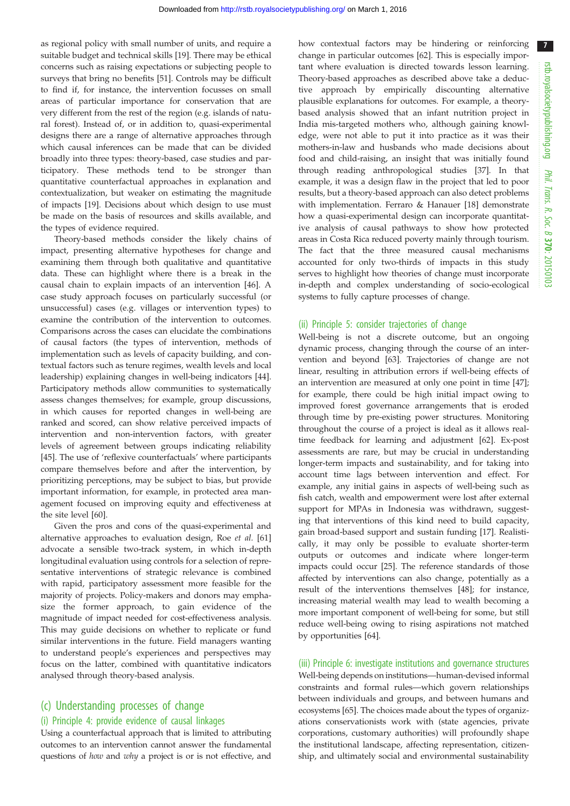as regional policy with small number of units, and require a suitable budget and technical skills [[19\]](#page-9-0). There may be ethical concerns such as raising expectations or subjecting people to surveys that bring no benefits [[51\]](#page-9-0). Controls may be difficult to find if, for instance, the intervention focusses on small areas of particular importance for conservation that are very different from the rest of the region (e.g. islands of natural forest). Instead of, or in addition to, quasi-experimental designs there are a range of alternative approaches through which causal inferences can be made that can be divided broadly into three types: theory-based, case studies and participatory. These methods tend to be stronger than quantitative counterfactual approaches in explanation and contextualization, but weaker on estimating the magnitude of impacts [\[19](#page-9-0)]. Decisions about which design to use must be made on the basis of resources and skills available, and the types of evidence required.

Theory-based methods consider the likely chains of impact, presenting alternative hypotheses for change and examining them through both qualitative and quantitative data. These can highlight where there is a break in the causal chain to explain impacts of an intervention [\[46](#page-9-0)]. A case study approach focuses on particularly successful (or unsuccessful) cases (e.g. villages or intervention types) to examine the contribution of the intervention to outcomes. Comparisons across the cases can elucidate the combinations of causal factors (the types of intervention, methods of implementation such as levels of capacity building, and contextual factors such as tenure regimes, wealth levels and local leadership) explaining changes in well-being indicators [\[44](#page-9-0)]. Participatory methods allow communities to systematically assess changes themselves; for example, group discussions, in which causes for reported changes in well-being are ranked and scored, can show relative perceived impacts of intervention and non-intervention factors, with greater levels of agreement between groups indicating reliability [\[45](#page-9-0)]. The use of 'reflexive counterfactuals' where participants compare themselves before and after the intervention, by prioritizing perceptions, may be subject to bias, but provide important information, for example, in protected area management focused on improving equity and effectiveness at the site level [\[60](#page-10-0)].

Given the pros and cons of the quasi-experimental and alternative approaches to evaluation design, Roe et al. [[61\]](#page-10-0) advocate a sensible two-track system, in which in-depth longitudinal evaluation using controls for a selection of representative interventions of strategic relevance is combined with rapid, participatory assessment more feasible for the majority of projects. Policy-makers and donors may emphasize the former approach, to gain evidence of the magnitude of impact needed for cost-effectiveness analysis. This may guide decisions on whether to replicate or fund similar interventions in the future. Field managers wanting to understand people's experiences and perspectives may focus on the latter, combined with quantitative indicators analysed through theory-based analysis.

## (c) Understanding processes of change

#### (i) Principle 4: provide evidence of causal linkages

Using a counterfactual approach that is limited to attributing outcomes to an intervention cannot answer the fundamental questions of how and why a project is or is not effective, and

how contextual factors may be hindering or reinforcing change in particular outcomes [\[62](#page-10-0)]. This is especially important where evaluation is directed towards lesson learning. Theory-based approaches as described above take a deductive approach by empirically discounting alternative plausible explanations for outcomes. For example, a theorybased analysis showed that an infant nutrition project in India mis-targeted mothers who, although gaining knowledge, were not able to put it into practice as it was their mothers-in-law and husbands who made decisions about food and child-raising, an insight that was initially found through reading anthropological studies [[37\]](#page-9-0). In that example, it was a design flaw in the project that led to poor results, but a theory-based approach can also detect problems with implementation. Ferraro & Hanauer [\[18](#page-9-0)] demonstrate how a quasi-experimental design can incorporate quantitative analysis of causal pathways to show how protected areas in Costa Rica reduced poverty mainly through tourism. The fact that the three measured causal mechanisms accounted for only two-thirds of impacts in this study serves to highlight how theories of change must incorporate in-depth and complex understanding of socio-ecological systems to fully capture processes of change.

#### (ii) Principle 5: consider trajectories of change

Well-being is not a discrete outcome, but an ongoing dynamic process, changing through the course of an intervention and beyond [\[63](#page-10-0)]. Trajectories of change are not linear, resulting in attribution errors if well-being effects of an intervention are measured at only one point in time [[47\]](#page-9-0); for example, there could be high initial impact owing to improved forest governance arrangements that is eroded through time by pre-existing power structures. Monitoring throughout the course of a project is ideal as it allows realtime feedback for learning and adjustment [\[62\]](#page-10-0). Ex-post assessments are rare, but may be crucial in understanding longer-term impacts and sustainability, and for taking into account time lags between intervention and effect. For example, any initial gains in aspects of well-being such as fish catch, wealth and empowerment were lost after external support for MPAs in Indonesia was withdrawn, suggesting that interventions of this kind need to build capacity, gain broad-based support and sustain funding [\[17](#page-9-0)]. Realistically, it may only be possible to evaluate shorter-term outputs or outcomes and indicate where longer-term impacts could occur [[25\]](#page-9-0). The reference standards of those affected by interventions can also change, potentially as a result of the interventions themselves [\[48](#page-9-0)]; for instance, increasing material wealth may lead to wealth becoming a more important component of well-being for some, but still reduce well-being owing to rising aspirations not matched by opportunities [[64\]](#page-10-0).

(iii) Principle 6: investigate institutions and governance structures Well-being depends on institutions—human-devised informal constraints and formal rules—which govern relationships between individuals and groups, and between humans and ecosystems [\[65](#page-10-0)]. The choices made about the types of organizations conservationists work with (state agencies, private corporations, customary authorities) will profoundly shape the institutional landscape, affecting representation, citizenship, and ultimately social and environmental sustainability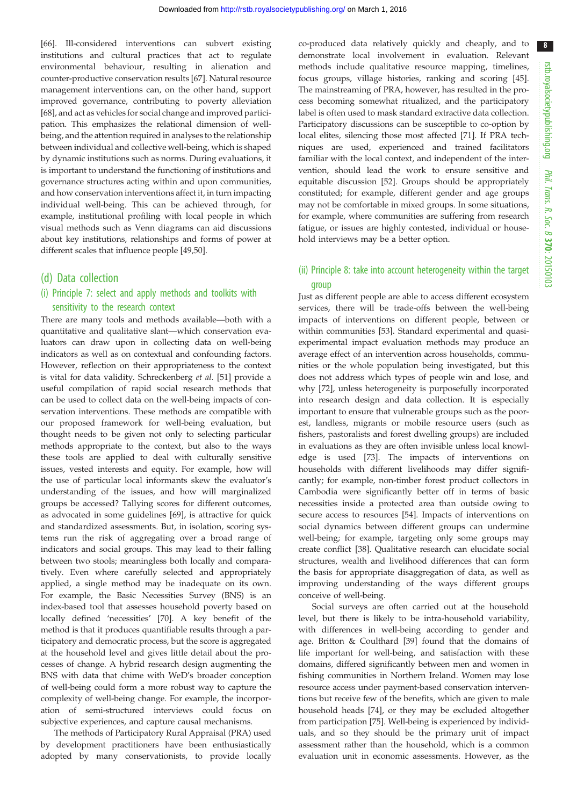[\[66](#page-10-0)]. Ill-considered interventions can subvert existing institutions and cultural practices that act to regulate environmental behaviour, resulting in alienation and counter-productive conservation results [\[67](#page-10-0)]. Natural resource management interventions can, on the other hand, support improved governance, contributing to poverty alleviation [\[68](#page-10-0)], and act as vehicles for social change and improved participation. This emphasizes the relational dimension of wellbeing, and the attention required in analyses to the relationship between individual and collective well-being, which is shaped by dynamic institutions such as norms. During evaluations, it is important to understand the functioning of institutions and governance structures acting within and upon communities, and how conservation interventions affect it, in turn impacting individual well-being. This can be achieved through, for example, institutional profiling with local people in which visual methods such as Venn diagrams can aid discussions about key institutions, relationships and forms of power at different scales that influence people [\[49](#page-9-0),[50\]](#page-9-0).

## (d) Data collection

## (i) Principle 7: select and apply methods and toolkits with sensitivity to the research context

There are many tools and methods available—both with a quantitative and qualitative slant—which conservation evaluators can draw upon in collecting data on well-being indicators as well as on contextual and confounding factors. However, reflection on their appropriateness to the context is vital for data validity. Schreckenberg et al. [[51\]](#page-9-0) provide a useful compilation of rapid social research methods that can be used to collect data on the well-being impacts of conservation interventions. These methods are compatible with our proposed framework for well-being evaluation, but thought needs to be given not only to selecting particular methods appropriate to the context, but also to the ways these tools are applied to deal with culturally sensitive issues, vested interests and equity. For example, how will the use of particular local informants skew the evaluator's understanding of the issues, and how will marginalized groups be accessed? Tallying scores for different outcomes, as advocated in some guidelines [\[69](#page-10-0)], is attractive for quick and standardized assessments. But, in isolation, scoring systems run the risk of aggregating over a broad range of indicators and social groups. This may lead to their falling between two stools; meaningless both locally and comparatively. Even where carefully selected and appropriately applied, a single method may be inadequate on its own. For example, the Basic Necessities Survey (BNS) is an index-based tool that assesses household poverty based on locally defined 'necessities' [\[70](#page-10-0)]. A key benefit of the method is that it produces quantifiable results through a participatory and democratic process, but the score is aggregated at the household level and gives little detail about the processes of change. A hybrid research design augmenting the BNS with data that chime with WeD's broader conception of well-being could form a more robust way to capture the complexity of well-being change. For example, the incorporation of semi-structured interviews could focus on subjective experiences, and capture causal mechanisms.

The methods of Participatory Rural Appraisal (PRA) used by development practitioners have been enthusiastically adopted by many conservationists, to provide locally co-produced data relatively quickly and cheaply, and to demonstrate local involvement in evaluation. Relevant methods include qualitative resource mapping, timelines, focus groups, village histories, ranking and scoring [[45\]](#page-9-0). The mainstreaming of PRA, however, has resulted in the process becoming somewhat ritualized, and the participatory label is often used to mask standard extractive data collection. Participatory discussions can be susceptible to co-option by local elites, silencing those most affected [[71\]](#page-10-0). If PRA techniques are used, experienced and trained facilitators familiar with the local context, and independent of the intervention, should lead the work to ensure sensitive and equitable discussion [\[52](#page-9-0)]. Groups should be appropriately constituted; for example, different gender and age groups may not be comfortable in mixed groups. In some situations, for example, where communities are suffering from research fatigue, or issues are highly contested, individual or household interviews may be a better option.

## (ii) Principle 8: take into account heterogeneity within the target group

Just as different people are able to access different ecosystem services, there will be trade-offs between the well-being impacts of interventions on different people, between or within communities [\[53](#page-9-0)]. Standard experimental and quasiexperimental impact evaluation methods may produce an average effect of an intervention across households, communities or the whole population being investigated, but this does not address which types of people win and lose, and why [[72\]](#page-10-0), unless heterogeneity is purposefully incorporated into research design and data collection. It is especially important to ensure that vulnerable groups such as the poorest, landless, migrants or mobile resource users (such as fishers, pastoralists and forest dwelling groups) are included in evaluations as they are often invisible unless local knowledge is used [[73\]](#page-10-0). The impacts of interventions on households with different livelihoods may differ significantly; for example, non-timber forest product collectors in Cambodia were significantly better off in terms of basic necessities inside a protected area than outside owing to secure access to resources [[54\]](#page-9-0). Impacts of interventions on social dynamics between different groups can undermine well-being; for example, targeting only some groups may create conflict [[38\]](#page-9-0). Qualitative research can elucidate social structures, wealth and livelihood differences that can form the basis for appropriate disaggregation of data, as well as improving understanding of the ways different groups conceive of well-being.

Social surveys are often carried out at the household level, but there is likely to be intra-household variability, with differences in well-being according to gender and age. Britton & Coulthard [\[39](#page-9-0)] found that the domains of life important for well-being, and satisfaction with these domains, differed significantly between men and women in fishing communities in Northern Ireland. Women may lose resource access under payment-based conservation interventions but receive few of the benefits, which are given to male household heads [\[74](#page-10-0)], or they may be excluded altogether from participation [[75\]](#page-10-0). Well-being is experienced by individuals, and so they should be the primary unit of impact assessment rather than the household, which is a common evaluation unit in economic assessments. However, as the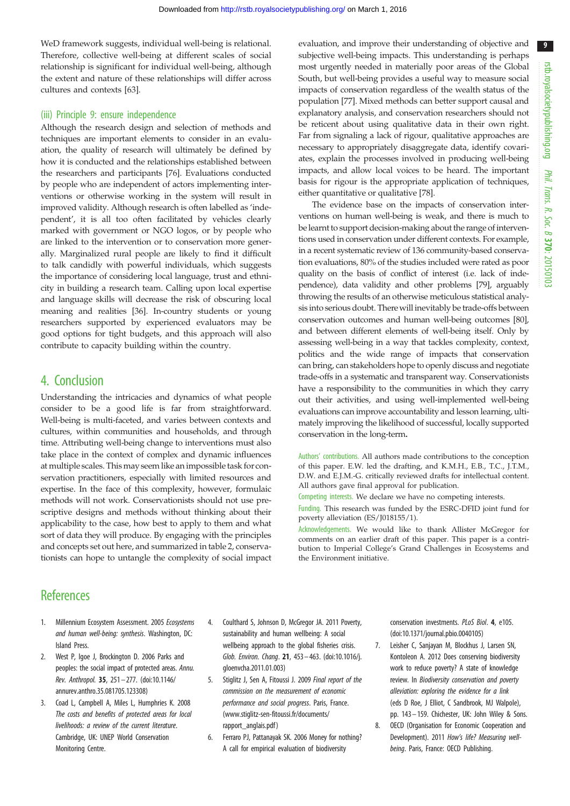<span id="page-8-0"></span>WeD framework suggests, individual well-being is relational. Therefore, collective well-being at different scales of social relationship is significant for individual well-being, although the extent and nature of these relationships will differ across cultures and contexts [[63\]](#page-10-0).

#### (iii) Principle 9: ensure independence

Although the research design and selection of methods and techniques are important elements to consider in an evaluation, the quality of research will ultimately be defined by how it is conducted and the relationships established between the researchers and participants [\[76\]](#page-10-0). Evaluations conducted by people who are independent of actors implementing interventions or otherwise working in the system will result in improved validity. Although research is often labelled as 'independent', it is all too often facilitated by vehicles clearly marked with government or NGO logos, or by people who are linked to the intervention or to conservation more generally. Marginalized rural people are likely to find it difficult to talk candidly with powerful individuals, which suggests the importance of considering local language, trust and ethnicity in building a research team. Calling upon local expertise and language skills will decrease the risk of obscuring local meaning and realities [[36](#page-9-0)]. In-country students or young researchers supported by experienced evaluators may be good options for tight budgets, and this approach will also contribute to capacity building within the country.

## 4. Conclusion

Understanding the intricacies and dynamics of what people consider to be a good life is far from straightforward. Well-being is multi-faceted, and varies between contexts and cultures, within communities and households, and through time. Attributing well-being change to interventions must also take place in the context of complex and dynamic influences at multiple scales. This may seem like an impossible task for conservation practitioners, especially with limited resources and expertise. In the face of this complexity, however, formulaic methods will not work. Conservationists should not use prescriptive designs and methods without thinking about their applicability to the case, how best to apply to them and what sort of data they will produce. By engaging with the principles and concepts set out here, and summarized in [table 2](#page-4-0), conservationists can hope to untangle the complexity of social impact evaluation, and improve their understanding of objective and subjective well-being impacts. This understanding is perhaps most urgently needed in materially poor areas of the Global South, but well-being provides a useful way to measure social impacts of conservation regardless of the wealth status of the population [\[77](#page-10-0)]. Mixed methods can better support causal and explanatory analysis, and conservation researchers should not be reticent about using qualitative data in their own right. Far from signaling a lack of rigour, qualitative approaches are necessary to appropriately disaggregate data, identify covariates, explain the processes involved in producing well-being impacts, and allow local voices to be heard. The important basis for rigour is the appropriate application of techniques, either quantitative or qualitative [[78\]](#page-10-0).

The evidence base on the impacts of conservation interventions on human well-being is weak, and there is much to be learnt to support decision-making about the range of interventions used in conservation under different contexts. For example, in a recent systematic review of 136 community-based conservation evaluations, 80% of the studies included were rated as poor quality on the basis of conflict of interest (i.e. lack of independence), data validity and other problems [\[79\]](#page-10-0), arguably throwing the results of an otherwise meticulous statistical analysis into serious doubt. There will inevitably be trade-offs between conservation outcomes and human well-being outcomes [\[80\]](#page-10-0), and between different elements of well-being itself. Only by assessing well-being in a way that tackles complexity, context, politics and the wide range of impacts that conservation can bring, can stakeholders hope to openly discuss and negotiate trade-offs in a systematic and transparent way. Conservationists have a responsibility to the communities in which they carry out their activities, and using well-implemented well-being evaluations can improve accountability and lesson learning, ultimately improving the likelihood of successful, locally supported conservation in the long-term.

Authors' contributions. All authors made contributions to the conception of this paper. E.W. led the drafting, and K.M.H., E.B., T.C., J.T.M., D.W. and E.J.M.-G. critically reviewed drafts for intellectual content. All authors gave final approval for publication.

Competing interests. We declare we have no competing interests.

Funding. This research was funded by the ESRC-DFID joint fund for poverty alleviation (ES/J018155/1).

Acknowledgements. We would like to thank Allister McGregor for comments on an earlier draft of this paper. This paper is a contribution to Imperial College's Grand Challenges in Ecosystems and the Environment initiative.

## **References**

- 1. Millennium Ecosystem Assessment. 2005 Ecosystems and human well-being: synthesis. Washington, DC: Island Press.
- 2. West P, Igoe J, Brockington D. 2006 Parks and peoples: the social impact of protected areas. Annu. Rev. Anthropol. 35, 251 – 277. ([doi:10.1146/](http://dx.doi.org/10.1146/annurev.anthro.35.081705.123308) [annurev.anthro.35.081705.123308](http://dx.doi.org/10.1146/annurev.anthro.35.081705.123308))
- 3. Coad L, Campbell A, Miles L, Humphries K. 2008 The costs and benefits of protected areas for local livelihoods: a review of the current literature. Cambridge, UK: UNEP World Conservation Monitoring Centre.
- 4. Coulthard S, Johnson D, McGregor JA. 2011 Poverty, sustainability and human wellbeing: A social wellbeing approach to the global fisheries crisis. Glob. Environ. Chang. 21, 453– 463. [\(doi:10.1016/j.](http://dx.doi.org/10.1016/j.gloenvcha.2011.01.003) [gloenvcha.2011.01.003\)](http://dx.doi.org/10.1016/j.gloenvcha.2011.01.003)
- 5. Stiglitz J, Sen A, Fitoussi J. 2009 Final report of the commission on the measurement of economic performance and social progress. Paris, France. [\(www.stiglitz-sen-fitoussi.fr/documents/](http://www.stiglitz-sen-fitoussi.fr/documents/rapport_anglais.pdf) [rapport\\_anglais.pdf](http://www.stiglitz-sen-fitoussi.fr/documents/rapport_anglais.pdf))
- 6. Ferraro PJ, Pattanayak SK. 2006 Money for nothing? A call for empirical evaluation of biodiversity

conservation investments. PLoS Biol. 4, e105. ([doi:10.1371/journal.pbio.0040105\)](http://dx.doi.org/10.1371/journal.pbio.0040105)

- 7. Leisher C, Sanjayan M, Blockhus J, Larsen SN, Kontoleon A. 2012 Does conserving biodiversity work to reduce poverty? A state of knowledge review. In Biodiversity conservation and poverty alleviation: exploring the evidence for a link (eds D Roe, J Elliot, C Sandbrook, MJ Walpole), pp. 143– 159. Chichester, UK: John Wiley & Sons.
- 8. OECD (Organisation for Economic Cooperation and Development). 2011 How's life? Measuring wellbeing. Paris, France: OECD Publishing.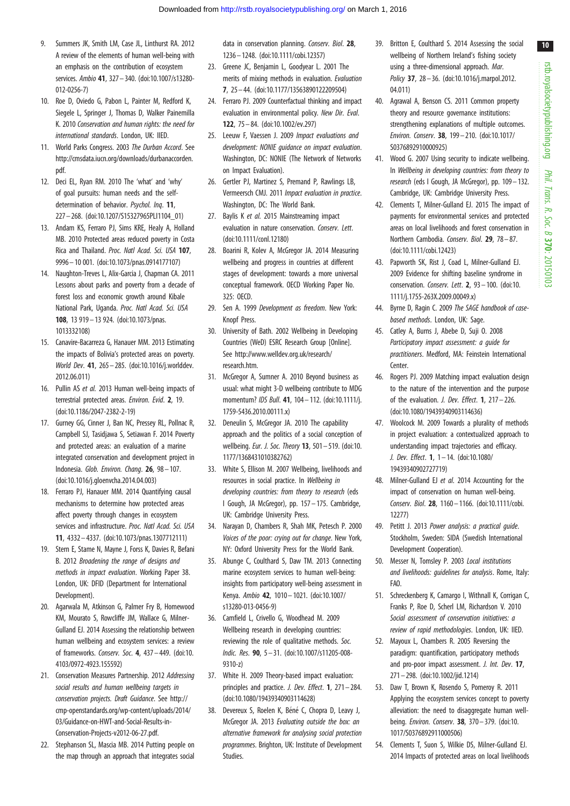- <span id="page-9-0"></span>9. Summers JK, Smith LM, Case JL, Linthurst RA. 2012 A review of the elements of human well-being with an emphasis on the contribution of ecosystem services. Ambio 41, 327– 340. ([doi:10.1007/s13280-](http://dx.doi.org/10.1007/s13280-012-0256-7) [012-0256-7\)](http://dx.doi.org/10.1007/s13280-012-0256-7)
- 10. Roe D, Oviedo G, Pabon L, Painter M, Redford K, Siegele L, Springer J, Thomas D, Walker Painemilla K. 2010 Conservation and human rights: the need for international standards. London, UK: IIED.
- 11. World Parks Congress. 2003 The Durban Accord. See [http://cmsdata.iucn.org/downloads/durbanaccorden.](http://cmsdata.iucn.org/downloads/durbanaccorden.pdf) [pdf](http://cmsdata.iucn.org/downloads/durbanaccorden.pdf).
- 12. Deci EL, Ryan RM. 2010 The 'what' and 'why' of goal pursuits: human needs and the selfdetermination of behavior. Psychol. Inq. 11, 227– 268. ([doi:10.1207/S15327965PLI1104\\_01](http://dx.doi.org/10.1207/S15327965PLI1104_01))
- 13. Andam KS, Ferraro PJ, Sims KRE, Healy A, Holland MB. 2010 Protected areas reduced poverty in Costa Rica and Thailand. Proc. Natl Acad. Sci. USA 107, 9996 – 10 001. [\(doi:10.1073/pnas.0914177107](http://dx.doi.org/10.1073/pnas.0914177107))
- 14. Naughton-Treves L, Alix-Garcia J, Chapman CA. 2011 Lessons about parks and poverty from a decade of forest loss and economic growth around Kibale National Park, Uganda. Proc. Natl Acad. Sci. USA 108, 13 919– 13 924. ([doi:10.1073/pnas.](http://dx.doi.org/10.1073/pnas.1013332108) [1013332108\)](http://dx.doi.org/10.1073/pnas.1013332108)
- 15. Canavire-Bacarreza G, Hanauer MM. 2013 Estimating the impacts of Bolivia's protected areas on poverty. World Dev. 41, 265– 285. [\(doi:10.1016/j.worlddev.](http://dx.doi.org/10.1016/j.worlddev.2012.06.011) [2012.06.011\)](http://dx.doi.org/10.1016/j.worlddev.2012.06.011)
- 16. Pullin AS et al. 2013 Human well-being impacts of terrestrial protected areas. Environ. Evid. 2, 19. [\(doi:10.1186/2047-2382-2-19](http://dx.doi.org/10.1186/2047-2382-2-19))
- 17. Gurney GG, Cinner J, Ban NC, Pressey RL, Pollnac R, Campbell SJ, Tasidjawa S, Setiawan F. 2014 Poverty and protected areas: an evaluation of a marine integrated conservation and development project in Indonesia. Glob. Environ. Chang. 26, 98 – 107. [\(doi:10.1016/j.gloenvcha.2014.04.003](http://dx.doi.org/10.1016/j.gloenvcha.2014.04.003))
- 18. Ferraro PJ, Hanauer MM. 2014 Quantifying causal mechanisms to determine how protected areas affect poverty through changes in ecosystem services and infrastructure. Proc. Natl Acad. Sci. USA 11, 4332– 4337. [\(doi:10.1073/pnas.1307712111](http://dx.doi.org/10.1073/pnas.1307712111))
- 19. Stern E, Stame N, Mayne J, Forss K, Davies R, Befani B. 2012 Broadening the range of designs and methods in impact evaluation. Working Paper 38. London, UK: DFID (Department for International Development).
- 20. Agarwala M, Atkinson G, Palmer Fry B, Homewood KM, Mourato S, Rowcliffe JM, Wallace G, Milner-Gulland EJ. 2014 Assessing the relationship between human wellbeing and ecosystem services: a review of frameworks. Conserv. Soc. 4, 437– 449. ([doi:10.](http://dx.doi.org/10.4103/0972-4923.155592) [4103/0972-4923.155592](http://dx.doi.org/10.4103/0972-4923.155592))
- 21. Conservation Measures Partnership. 2012 Addressing social results and human wellbeina taraets in conservation projects. Draft Guidance. See [http://](http://cmp-openstandards.org/wp-content/uploads/2014/03/Guidance-on-HWT-and-Social-Results-in-Conservation-Projects-v2012-06-27.pdf) [cmp-openstandards.org/wp-content/uploads/2014/](http://cmp-openstandards.org/wp-content/uploads/2014/03/Guidance-on-HWT-and-Social-Results-in-Conservation-Projects-v2012-06-27.pdf) [03/Guidance-on-HWT-and-Social-Results-in-](http://cmp-openstandards.org/wp-content/uploads/2014/03/Guidance-on-HWT-and-Social-Results-in-Conservation-Projects-v2012-06-27.pdf)[Conservation-Projects-v2012-06-27.pdf](http://cmp-openstandards.org/wp-content/uploads/2014/03/Guidance-on-HWT-and-Social-Results-in-Conservation-Projects-v2012-06-27.pdf).
- 22. Stephanson SL, Mascia MB. 2014 Putting people on the map through an approach that integrates social

data in conservation planning. Conserv. Biol. 28, 1236– 1248. [\(doi:10.1111/cobi.12357](http://dx.doi.org/10.1111/cobi.12357))

- 23. Greene JC, Benjamin L, Goodyear L. 2001 The merits of mixing methods in evaluation. Evaluation 7, 25 – 44. [\(doi:10.1177/13563890122209504\)](http://dx.doi.org/10.1177/13563890122209504)
- 24. Ferraro PJ. 2009 Counterfactual thinking and impact evaluation in environmental policy. New Dir. Eval. 122, 75 – 84. ([doi:10.1002/ev.297](http://dx.doi.org/10.1002/ev.297))
- 25. Leeuw F, Vaessen J. 2009 Impact evaluations and development: NONIE guidance on impact evaluation. Washington, DC: NONIE (The Network of Networks on Impact Evaluation).
- 26. Gertler PJ, Martinez S, Premand P, Rawlings LB, Vermeersch CMJ. 2011 Impact evaluation in practice. Washington, DC: The World Bank.
- 27. Baylis K et al. 2015 Mainstreaming impact evaluation in nature conservation. Conserv. Lett. [\(doi:10.1111/conl.12180\)](http://dx.doi.org/10.1111/conl.12180)
- 28. Boarini R, Kolev A, McGregor JA. 2014 Measuring wellbeing and progress in countries at different stages of development: towards a more universal conceptual framework. OECD Working Paper No.  $325:$  OFCD.
- 29. Sen A. 1999 Development as freedom. New York: Knopf Press.
- 30. University of Bath. 2002 Wellbeing in Developing Countries (WeD) ESRC Research Group [Online]. See [http://www.welldev.org.uk/research/](http://www.welldev.org.uk/research/research.htm) [research.htm.](http://www.welldev.org.uk/research/research.htm)
- 31. McGregor A, Sumner A. 2010 Beyond business as usual: what might 3-D wellbeing contribute to MDG momentum? IDS Bull. 41, 104– 112. [\(doi:10.1111/j.](http://dx.doi.org/10.1111/j.1759-5436.2010.00111.x) [1759-5436.2010.00111.x\)](http://dx.doi.org/10.1111/j.1759-5436.2010.00111.x)
- 32. Deneulin S, McGregor JA. 2010 The capability approach and the politics of a social conception of wellbeing. Eur. J. Soc. Theory 13, 501– 519. [\(doi:10.](http://dx.doi.org/10.1177/1368431010382762) [1177/1368431010382762\)](http://dx.doi.org/10.1177/1368431010382762)
- 33. White S, Ellison M. 2007 Wellbeing, livelihoods and resources in social practice. In Wellbeing in developing countries: from theory to research (eds I Gough, JA McGregor), pp. 157– 175. Cambridge, UK: Cambridge University Press.
- 34. Narayan D, Chambers R, Shah MK, Petesch P. 2000 Voices of the poor: crying out for change. New York, NY: Oxford University Press for the World Bank.
- 35. Abunge C, Coulthard S, Daw TM. 2013 Connecting marine ecosystem services to human well-being: insights from participatory well-being assessment in Kenya. Ambio 42, 1010– 1021. ([doi:10.1007/](http://dx.doi.org/10.1007/s13280-013-0456-9) [s13280-013-0456-9\)](http://dx.doi.org/10.1007/s13280-013-0456-9)
- 36. Camfield L, Crivello G, Woodhead M. 2009 Wellbeing research in developing countries: reviewing the role of qualitative methods. Soc. Indic. Res. 90, 5 – 31. [\(doi:10.1007/s11205-008-](http://dx.doi.org/10.1007/s11205-008-9310-z) [9310-z\)](http://dx.doi.org/10.1007/s11205-008-9310-z)
- 37. White H. 2009 Theory-based impact evaluation: principles and practice. J. Dev. Effect. 1, 271– 284. [\(doi:10.1080/19439340903114628](http://dx.doi.org/10.1080/19439340903114628))
- 38. Devereux S, Roelen K, Béné C, Chopra D, Leavy J, McGregor JA. 2013 Evaluating outside the box: an alternative framework for analysing social protection programmes. Brighton, UK: Institute of Development Studies.
- 39. Britton E, Coulthard S. 2014 Assessing the social wellbeing of Northern Ireland's fishing society using a three-dimensional approach. Mar. Policy 37, 28-36. ([doi:10.1016/j.marpol.2012.](http://dx.doi.org/10.1016/j.marpol.2012.04.011) [04.011](http://dx.doi.org/10.1016/j.marpol.2012.04.011))
- 40. Agrawal A, Benson CS. 2011 Common property theory and resource governance institutions: strengthening explanations of multiple outcomes. Environ. Conserv. 38, 199– 210. [\(doi:10.1017/](http://dx.doi.org/10.1017/S0376892910000925) [S0376892910000925\)](http://dx.doi.org/10.1017/S0376892910000925)
- 41. Wood G. 2007 Using security to indicate wellbeing. In Wellbeing in developing countries: from theory to research (eds I Gough, JA McGregor), pp. 109 – 132. Cambridge, UK: Cambridge University Press.
- 42. Clements T, Milner-Gulland EJ. 2015 The impact of payments for environmental services and protected areas on local livelihoods and forest conservation in Northern Cambodia. Conserv. Biol. 29, 78-87. ([doi:10.1111/cobi.12423](http://dx.doi.org/10.1111/cobi.12423))
- 43. Papworth SK, Rist J, Coad L, Milner-Gulland EJ. 2009 Evidence for shifting baseline syndrome in conservation. Conserv. Lett. 2, 93 – 100. [\(doi:10.](http://dx.doi.org/10.1111/j.1755-263X.2009.00049.x) [1111/j.1755-263X.2009.00049.x\)](http://dx.doi.org/10.1111/j.1755-263X.2009.00049.x)
- 44. Byrne D, Ragin C. 2009 The SAGE handbook of casebased methods. London, UK: Sage.
- 45. Catley A, Burns J, Abebe D, Suji O. 2008 Participatory impact assessment: a guide for practitioners. Medford, MA: Feinstein International Center.
- 46. Rogers PJ. 2009 Matching impact evaluation design to the nature of the intervention and the purpose of the evaluation. *J. Dev. Effect*. **1**,  $217 - 226$ . ([doi:10.1080/19439340903114636\)](http://dx.doi.org/10.1080/19439340903114636)
- 47. Woolcock M. 2009 Towards a plurality of methods in project evaluation: a contextualized approach to understanding impact trajectories and efficacy. J. Dev. Effect. 1, 1– 14. [\(doi:10.1080/](http://dx.doi.org/10.1080/19439340902727719) [19439340902727719](http://dx.doi.org/10.1080/19439340902727719))
- 48. Milner-Gulland EJ et al. 2014 Accounting for the impact of conservation on human well-being. Conserv. Biol. 28, 1160 – 1166. [\(doi:10.1111/cobi.](http://dx.doi.org/10.1111/cobi.12277) [12277\)](http://dx.doi.org/10.1111/cobi.12277)
- 49. Petitt J. 2013 Power analysis: a practical guide. Stockholm, Sweden: SIDA (Swedish International Development Cooperation).
- 50. Messer N, Tomsley P. 2003 Local institutions and livelihoods: guidelines for analysis. Rome, Italy: FAO.
- 51. Schreckenberg K, Camargo I, Withnall K, Corrigan C, Franks P, Roe D, Scherl LM, Richardson V. 2010 Social assessment of conservation initiatives: a review of rapid methodologies. London, UK: IIED.
- 52. Mayoux L, Chambers R. 2005 Reversing the paradigm: quantification, participatory methods and pro-poor impact assessment. J. Int. Dev. 17, 271– 298. [\(doi:10.1002/jid.1214\)](http://dx.doi.org/10.1002/jid.1214)
- 53. Daw T, Brown K, Rosendo S, Pomeroy R. 2011 Applying the ecosystem services concept to poverty alleviation: the need to disaggregate human wellbeing. Environ. Conserv. 38, 370– 379. [\(doi:10.](http://dx.doi.org/10.1017/S0376892911000506) [1017/S0376892911000506\)](http://dx.doi.org/10.1017/S0376892911000506)
- 54. Clements T, Suon S, Wilkie DS, Milner-Gulland EJ. 2014 Impacts of protected areas on local livelihoods